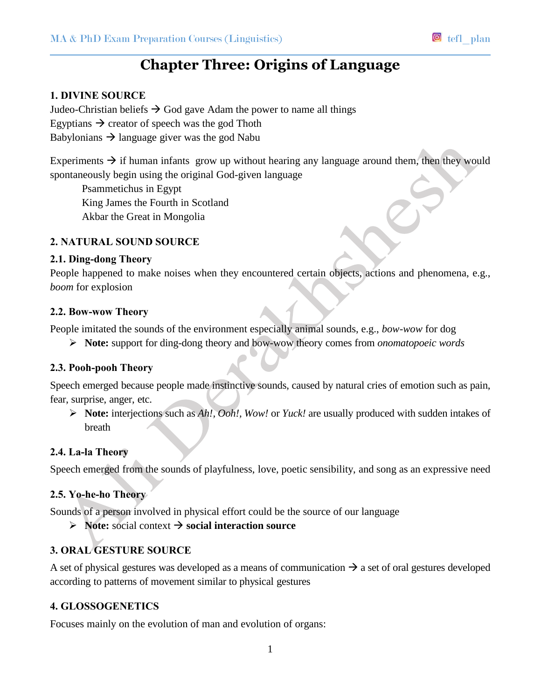# **Chapter Three: Origins of Language**

# **1. DIVINE SOURCE**

Judeo-Christian beliefs  $\rightarrow$  God gave Adam the power to name all things Egyptians  $\rightarrow$  creator of speech was the god Thoth Babylonians  $\rightarrow$  language giver was the god Nabu

Experiments  $\rightarrow$  if human infants grow up without hearing any language around them, then they would spontaneously begin using the original God-given language

Psammetichus in Egypt King James the Fourth in Scotland Akbar the Great in Mongolia

## **2. NATURAL SOUND SOURCE**

#### **2.1. Ding-dong Theory**

People happened to make noises when they encountered certain objects, actions and phenomena, e.g., *boom* for explosion

#### **2.2. Bow-wow Theory**

People imitated the sounds of the environment especially animal sounds, e.g., *bow-wow* for dog

**Note:** support for ding-dong theory and bow-wow theory comes from *onomatopoeic words* 

## **2.3. Pooh-pooh Theory**

Speech emerged because people made instinctive sounds, caused by natural cries of emotion such as pain, fear, surprise, anger, etc.

 **Note:** interjections such as *Ah!, Ooh!, Wow!* or *Yuck!* are usually produced with sudden intakes of breath

#### **2.4. La-la Theory**

Speech emerged from the sounds of playfulness, love, poetic sensibility, and song as an expressive need

#### **2.5. Yo-he-ho Theory**

Sounds of a person involved in physical effort could be the source of our language

 $\triangleright$  **Note:** social context  $\rightarrow$  social interaction source

# **3. ORAL GESTURE SOURCE**

A set of physical gestures was developed as a means of communication  $\rightarrow$  a set of oral gestures developed according to patterns of movement similar to physical gestures

#### **4. GLOSSOGENETICS**

Focuses mainly on the evolution of man and evolution of organs: